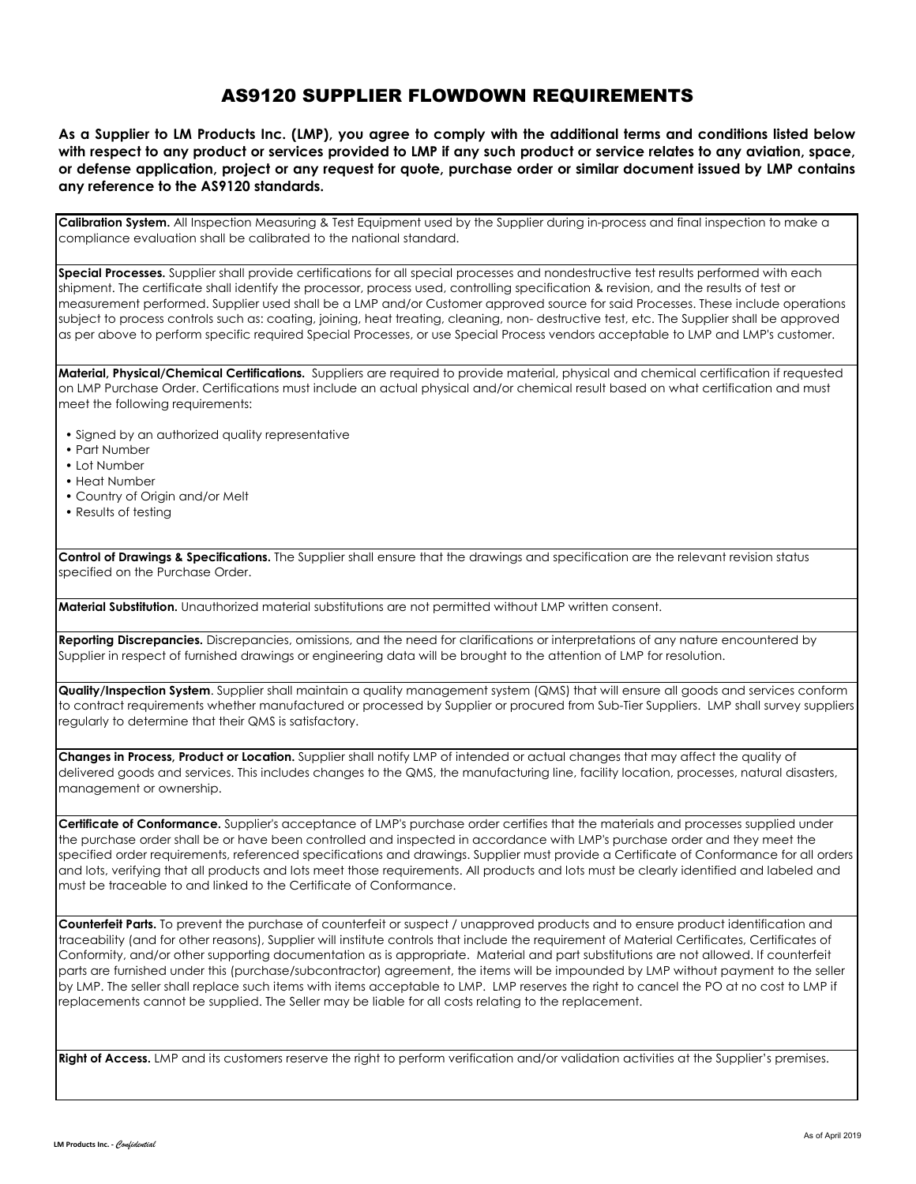## AS9120 SUPPLIER FLOWDOWN REQUIREMENTS

As a Supplier to LM Products Inc. (LMP), you agree to comply with the additional terms and conditions listed below with respect to any product or services provided to LMP if any such product or service relates to any aviation, space, or defense application, project or any reauest for auote, purchase order or similar document issued by LMP contains **any reference to the AS9120 standards.**

**Calibration System.** All Inspection Measuring & Test Equipment used by the Supplier during in-process and final inspection to make a compliance evaluation shall be calibrated to the national standard.

**Special Processes.** Supplier shall provide certifications for all special processes and nondestructive test results performed with each shipment. The certificate shall identify the processor, process used, controlling specification & revision, and the results of test or measurement performed. Supplier used shall be a LMP and/or Customer approved source for said Processes. These include operations subject to process controls such as: coating, joining, heat treating, cleaning, non- destructive test, etc. The Supplier shall be approved as per above to perform specific required Special Processes, or use Special Process vendors acceptable to LMP and LMP's customer.

**Material, Physical/Chemical Certifications.** Suppliers are required to provide material, physical and chemical certification if requested on LMP Purchase Order. Certifications must include an actual physical and/or chemical result based on what certification and must meet the following requirements:

- Signed by an authorized quality representative
- Part Number
- Lot Number
- Heat Number
- Country of Origin and/or Melt
- Results of testing

**Control of Drawings & Specifications.** The Supplier shall ensure that the drawings and specification are the relevant revision status specified on the Purchase Order.

**Material Substitution.** Unauthorized material substitutions are not permitted without LMP written consent.

**Reporting Discrepancies.** Discrepancies, omissions, and the need for clarifications or interpretations of any nature encountered by Supplier in respect of furnished drawings or engineering data will be brought to the attention of LMP for resolution.

**Quality/Inspection System**. Supplier shall maintain a quality management system (QMS) that will ensure all goods and services conform to contract requirements whether manufactured or processed by Supplier or procured from Sub-Tier Suppliers. LMP shall survey suppliers regularly to determine that their QMS is satisfactory.

**Changes in Process, Product or Location.** Supplier shall notify LMP of intended or actual changes that may affect the quality of delivered goods and services. This includes changes to the QMS, the manufacturing line, facility location, processes, natural disasters, management or ownership.

**Certificate of Conformance.** Supplier's acceptance of LMP's purchase order certifies that the materials and processes supplied under the purchase order shall be or have been controlled and inspected in accordance with LMP's purchase order and they meet the specified order requirements, referenced specifications and drawings. Supplier must provide a Certificate of Conformance for all orders and lots, verifying that all products and lots meet those requirements. All products and lots must be clearly identified and labeled and must be traceable to and linked to the Certificate of Conformance.

**Counterfeit Parts.** To prevent the purchase of counterfeit or suspect / unapproved products and to ensure product identification and traceability (and for other reasons), Supplier will institute controls that include the requirement of Material Certificates, Certificates of Conformity, and/or other supporting documentation as is appropriate. Material and part substitutions are not allowed. If counterfeit parts are furnished under this (purchase/subcontractor) agreement, the items will be impounded by LMP without payment to the seller by LMP. The seller shall replace such items with items acceptable to LMP. LMP reserves the right to cancel the PO at no cost to LMP if replacements cannot be supplied. The Seller may be liable for all costs relating to the replacement.

Right of Access. LMP and its customers reserve the right to perform verification and/or validation activities at the Supplier's premises.